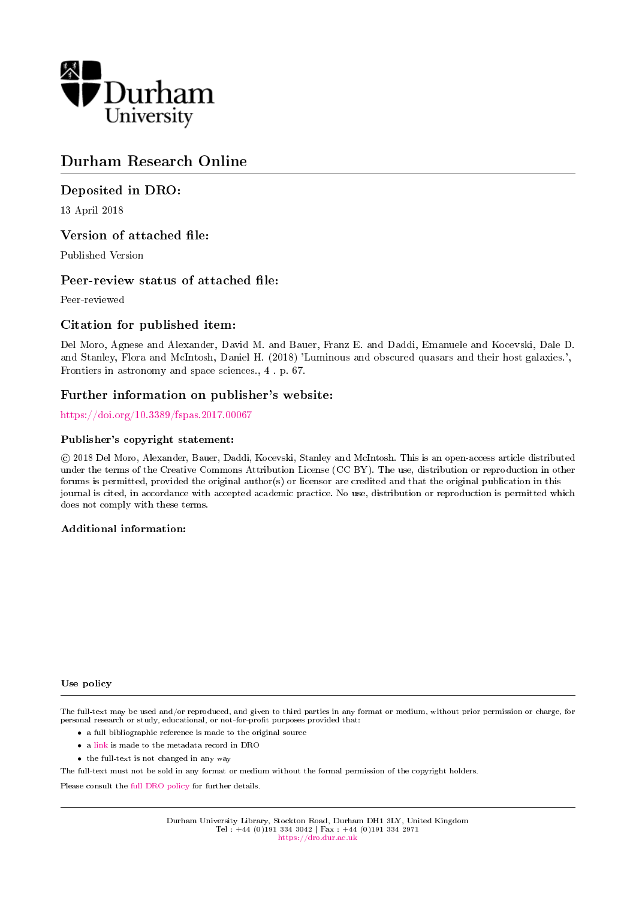

# Durham Research Online

# Deposited in DRO:

13 April 2018

# Version of attached file:

Published Version

# Peer-review status of attached file:

Peer-reviewed

# Citation for published item:

Del Moro, Agnese and Alexander, David M. and Bauer, Franz E. and Daddi, Emanuele and Kocevski, Dale D. and Stanley, Flora and McIntosh, Daniel H. (2018) 'Luminous and obscured quasars and their host galaxies.', Frontiers in astronomy and space sciences., 4 . p. 67.

### Further information on publisher's website:

<https://doi.org/10.3389/fspas.2017.00067>

### Publisher's copyright statement:

 c 2018 Del Moro, Alexander, Bauer, Daddi, Kocevski, Stanley and McIntosh. This is an open-access article distributed under the terms of the Creative Commons Attribution License (CC BY). The use, distribution or reproduction in other forums is permitted, provided the original author(s) or licensor are credited and that the original publication in this journal is cited, in accordance with accepted academic practice. No use, distribution or reproduction is permitted which does not comply with these terms.

#### Additional information:

#### Use policy

The full-text may be used and/or reproduced, and given to third parties in any format or medium, without prior permission or charge, for personal research or study, educational, or not-for-profit purposes provided that:

- a full bibliographic reference is made to the original source
- a [link](http://dro.dur.ac.uk/24552/) is made to the metadata record in DRO
- the full-text is not changed in any way

The full-text must not be sold in any format or medium without the formal permission of the copyright holders.

Please consult the [full DRO policy](https://dro.dur.ac.uk/policies/usepolicy.pdf) for further details.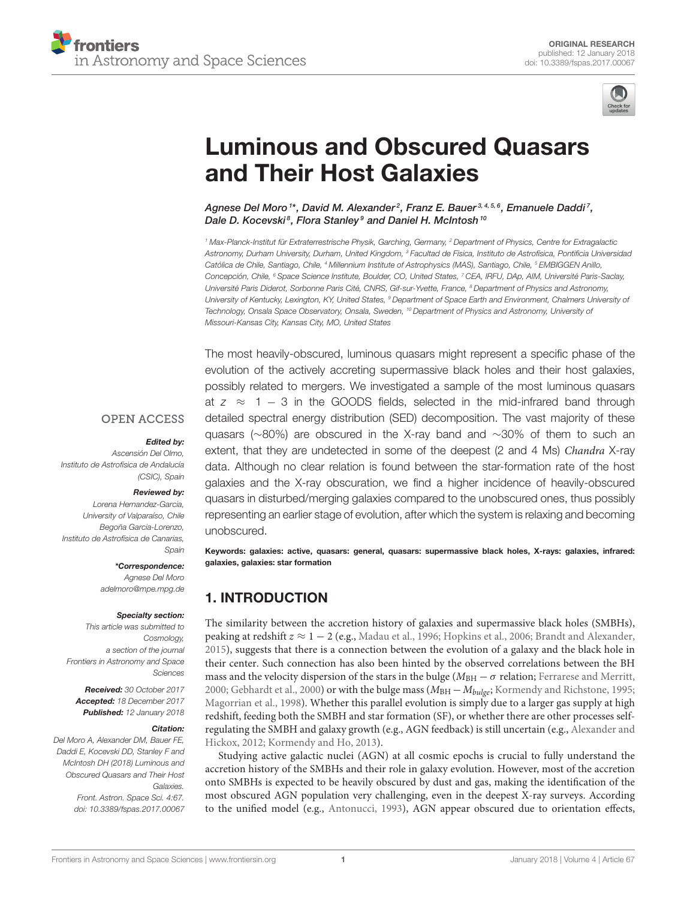

# [Luminous and Obscured Quasars](https://www.frontiersin.org/articles/10.3389/fspas.2017.00067/full) and Their Host Galaxies

[Agnese Del Moro](http://loop.frontiersin.org/people/468879/overview) <sup>1\*</sup>, David M. Alexander<sup>2</sup>, [Franz E. Bauer](http://loop.frontiersin.org/people/217042/overview)<sup>3,4,5,6</sup>, [Emanuele Daddi](http://loop.frontiersin.org/people/223831/overview) <sup>7</sup>, Dale D. Kocevski $^{\rm 8}$ , [Flora Stanley](http://loop.frontiersin.org/people/469169/overview) $^{\rm 9}$  and Daniel H. McIntosh  $^{\rm 10}$ 

<sup>1</sup> Max-Planck-Institut für Extraterrestrische Physik, Garching, Germany, <sup>2</sup> Department of Physics, Centre for Extragalactic Astronomy, Durham University, Durham, United Kingdom, <sup>3</sup> Facultad de Física, Instituto de Astrofísica, Pontificia Universidad Católica de Chile, Santiago, Chile, <sup>4</sup> Millennium Institute of Astrophysics (MAS), Santiago, Chile, <sup>5</sup> EMBIGGEN Anillo, Concepción, Chile, <sup>6</sup> Space Science Institute, Boulder, CO, United States, <sup>7</sup> CEA, IRFU, DAp, AIM, Université Paris-Saclay, Université Paris Diderot, Sorbonne Paris Cité, CNRS, Gif-sur-Yvette, France, <sup>8</sup> Department of Physics and Astronomy, University of Kentucky, Lexington, KY, United States, <sup>9</sup> Department of Space Earth and Environment, Chalmers University of Technology, Onsala Space Observatory, Onsala, Sweden, <sup>10</sup> Department of Physics and Astronomy, University of Missouri-Kansas City, Kansas City, MO, United States

The most heavily-obscured, luminous quasars might represent a specific phase of the

**OPEN ACCESS** 

#### Edited by:

Ascensión Del Olmo, Instituto de Astrofísica de Andalucía (CSIC), Spain

#### Reviewed by:

Lorena Hernandez-Garcia, University of Valparaíso, Chile Begoña Garcia-Lorenzo, Instituto de Astrofísica de Canarias, Spain

\*Correspondence:

Agnese Del Moro [adelmoro@mpe.mpg.de](mailto:adelmoro@mpe.mpg.de)

#### Specialty section:

This article was submitted to Cosmology, a section of the journal Frontiers in Astronomy and Space **Sciences** 

Received: 30 October 2017 Accepted: 18 December 2017 Published: 12 January 2018

#### Citation:

Del Moro A, Alexander DM, Bauer FE, Daddi E, Kocevski DD, Stanley F and McIntosh DH (2018) Luminous and Obscured Quasars and Their Host Galaxies. Front. Astron. Space Sci. 4:67. doi: [10.3389/fspas.2017.00067](https://doi.org/10.3389/fspas.2017.00067) evolution of the actively accreting supermassive black holes and their host galaxies, possibly related to mergers. We investigated a sample of the most luminous quasars at  $z \approx 1 - 3$  in the GOODS fields, selected in the mid-infrared band through detailed spectral energy distribution (SED) decomposition. The vast majority of these quasars (∼80%) are obscured in the X-ray band and ∼30% of them to such an extent, that they are undetected in some of the deepest (2 and 4 Ms) Chandra X-ray data. Although no clear relation is found between the star-formation rate of the host galaxies and the X-ray obscuration, we find a higher incidence of heavily-obscured quasars in disturbed/merging galaxies compared to the unobscured ones, thus possibly representing an earlier stage of evolution, after which the system is relaxing and becoming unobscured.

Keywords: galaxies: active, quasars: general, quasars: supermassive black holes, X-rays: galaxies, infrared: galaxies, galaxies: star formation

# 1. INTRODUCTION

The similarity between the accretion history of galaxies and supermassive black holes (SMBHs), peaking at redshift  $z \approx 1 - 2$  (e.g., [Madau et al., 1996;](#page-5-0) [Hopkins et al., 2006;](#page-5-1) [Brandt and Alexander,](#page-4-0) [2015\)](#page-4-0), suggests that there is a connection between the evolution of a galaxy and the black hole in their center. Such connection has also been hinted by the observed correlations between the BH mass and the velocity dispersion of the stars in the bulge ( $M_{BH} - \sigma$  relation; [Ferrarese and Merritt,](#page-5-2) [2000;](#page-5-2) [Gebhardt et al., 2000\)](#page-5-3) or with the bulge mass ( $M_{BH} - M_{bulge}$ ; [Kormendy and Richstone, 1995;](#page-5-4) [Magorrian et al., 1998\)](#page-5-5). Whether this parallel evolution is simply due to a larger gas supply at high redshift, feeding both the SMBH and star formation (SF), or whether there are other processes selfregulating the SMBH and galaxy growth (e.g., AGN feedback) is still uncertain (e.g., Alexander and Hickox, [2012;](#page-4-1) [Kormendy and Ho, 2013\)](#page-5-6).

Studying active galactic nuclei (AGN) at all cosmic epochs is crucial to fully understand the accretion history of the SMBHs and their role in galaxy evolution. However, most of the accretion onto SMBHs is expected to be heavily obscured by dust and gas, making the identification of the most obscured AGN population very challenging, even in the deepest X-ray surveys. According to the unified model (e.g., [Antonucci, 1993\)](#page-4-2), AGN appear obscured due to orientation effects,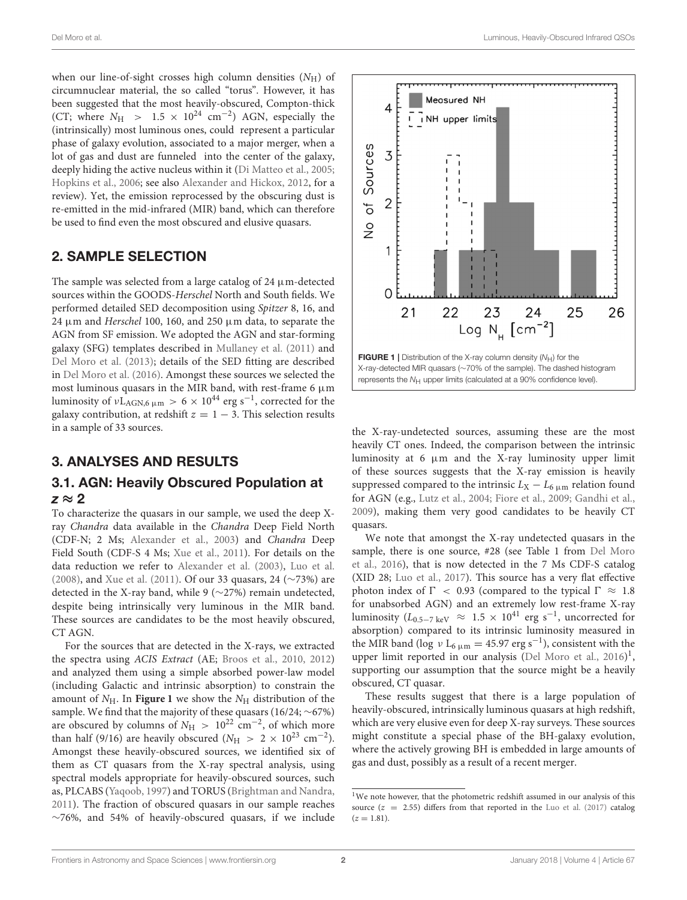Del Moro et al. Luminous, Heavily-Obscured Infrared QSOs

when our line-of-sight crosses high column densities  $(N_H)$  of circumnuclear material, the so called "torus". However, it has been suggested that the most heavily-obscured, Compton-thick (CT; where  $N_{\rm H}$  > 1.5 × 10<sup>24</sup> cm<sup>-2</sup>) AGN, especially the (intrinsically) most luminous ones, could represent a particular phase of galaxy evolution, associated to a major merger, when a lot of gas and dust are funneled into the center of the galaxy, deeply hiding the active nucleus within it [\(Di Matteo et al., 2005;](#page-5-7) [Hopkins et al., 2006;](#page-5-1) see also [Alexander and Hickox, 2012,](#page-4-1) for a review). Yet, the emission reprocessed by the obscuring dust is re-emitted in the mid-infrared (MIR) band, which can therefore be used to find even the most obscured and elusive quasars.

# 2. SAMPLE SELECTION

The sample was selected from a large catalog of 24  $\mu$ m-detected sources within the GOODS-Herschel North and South fields. We performed detailed SED decomposition using Spitzer 8, 16, and 24 µm and Herschel 100, 160, and 250 µm data, to separate the AGN from SF emission. We adopted the AGN and star-forming galaxy (SFG) templates described in [Mullaney et al. \(2011\)](#page-5-8) and [Del Moro et al. \(2013\)](#page-4-3); details of the SED fitting are described in [Del Moro et al. \(2016\)](#page-4-4). Amongst these sources we selected the most luminous quasars in the MIR band, with rest-frame 6  $\mu$ m luminosity of  $vL_{\rm AGN,6\,\mu m} > 6 \times 10^{44}$  erg s $^{-1}$ , corrected for the galaxy contribution, at redshift  $z = 1 - 3$ . This selection results in a sample of 33 sources.

# 3. ANALYSES AND RESULTS

# 3.1. AGN: Heavily Obscured Population at  $z \approx 2$

To characterize the quasars in our sample, we used the deep Xray Chandra data available in the Chandra Deep Field North (CDF-N; 2 Ms; [Alexander et al., 2003\)](#page-4-5) and Chandra Deep Field South (CDF-S 4 Ms; [Xue et al., 2011\)](#page-5-9). For details on the data reduction we refer to [Alexander et al. \(2003\)](#page-4-5), [Luo et al.](#page-5-10) [\(2008\)](#page-5-10), and [Xue et al. \(2011\)](#page-5-9). Of our 33 quasars, 24 (∼73%) are detected in the X-ray band, while 9 (∼27%) remain undetected, despite being intrinsically very luminous in the MIR band. These sources are candidates to be the most heavily obscured, CT AGN.

For the sources that are detected in the X-rays, we extracted the spectra using ACIS Extract (AE; [Broos et al., 2010,](#page-4-6) [2012\)](#page-4-7) and analyzed them using a simple absorbed power-law model (including Galactic and intrinsic absorption) to constrain the amount of  $N_H$ . In **[Figure 1](#page-2-0)** we show the  $N_H$  distribution of the sample. We find that the majority of these quasars (16/24; ∼67%) are obscured by columns of  $N_H > 10^{22}$  cm<sup>-2</sup>, of which more than half (9/16) are heavily obscured ( $N_{\rm H} > 2 \times 10^{23} \text{ cm}^{-2}$ ). Amongst these heavily-obscured sources, we identified six of them as CT quasars from the X-ray spectral analysis, using spectral models appropriate for heavily-obscured sources, such as, PLCABS [\(Yaqoob, 1997\)](#page-5-11) and TORUS [\(Brightman and Nandra,](#page-4-8) [2011\)](#page-4-8). The fraction of obscured quasars in our sample reaches ∼76%, and 54% of heavily-obscured quasars, if we include



<span id="page-2-0"></span>the X-ray-undetected sources, assuming these are the most heavily CT ones. Indeed, the comparison between the intrinsic luminosity at  $6 \mu m$  and the X-ray luminosity upper limit of these sources suggests that the X-ray emission is heavily suppressed compared to the intrinsic  $L_X - L_{6 \mu m}$  relation found for AGN (e.g., [Lutz et al., 2004;](#page-5-12) [Fiore et al., 2009;](#page-5-13) [Gandhi et al.,](#page-5-14) [2009\)](#page-5-14), making them very good candidates to be heavily CT quasars.

We note that amongst the X-ray undetected quasars in the sample, there is one source, #28 (see Table 1 from Del Moro et al., [2016\)](#page-4-4), that is now detected in the 7 Ms CDF-S catalog (XID 28; [Luo et al., 2017\)](#page-5-15). This source has a very flat effective photon index of  $\Gamma$  < 0.93 (compared to the typical  $\Gamma \approx 1.8$ for unabsorbed AGN) and an extremely low rest-frame X-ray luminosity ( $L_{0.5-7~{\rm keV}}~\approx~1.5\,\times\,10^{41}$  erg s<sup>-1</sup>, uncorrected for absorption) compared to its intrinsic luminosity measured in the MIR band (log  $v$  L<sub>6</sub>  $\mu$ m = 45.97 erg s<sup>-1</sup>), consistent with the upper limit reported in our analysis [\(Del Moro et al., 2016\)](#page-4-4)<sup>[1](#page-2-1)</sup>, supporting our assumption that the source might be a heavily obscured, CT quasar.

These results suggest that there is a large population of heavily-obscured, intrinsically luminous quasars at high redshift, which are very elusive even for deep X-ray surveys. These sources might constitute a special phase of the BH-galaxy evolution, where the actively growing BH is embedded in large amounts of gas and dust, possibly as a result of a recent merger.

<span id="page-2-1"></span> $1$ We note however, that the photometric redshift assumed in our analysis of this source  $(z = 2.55)$  differs from that reported in the [Luo et al. \(2017\)](#page-5-15) catalog  $(z = 1.81)$ .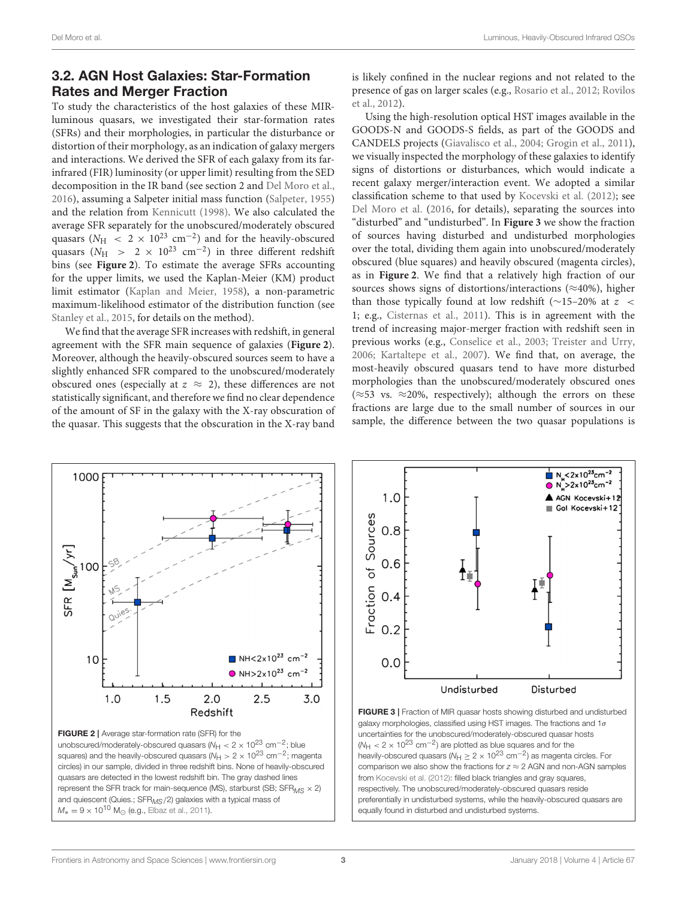# 3.2. AGN Host Galaxies: Star-Formation Rates and Merger Fraction

To study the characteristics of the host galaxies of these MIRluminous quasars, we investigated their star-formation rates (SFRs) and their morphologies, in particular the disturbance or distortion of their morphology, as an indication of galaxy mergers and interactions. We derived the SFR of each galaxy from its farinfrared (FIR) luminosity (or upper limit) resulting from the SED decomposition in the IR band (see section 2 and [Del Moro et al.,](#page-4-4) [2016\)](#page-4-4), assuming a Salpeter initial mass function [\(Salpeter, 1955\)](#page-5-16) and the relation from [Kennicutt \(1998\)](#page-5-17). We also calculated the average SFR separately for the unobscured/moderately obscured quasars ( $N_{\rm H}$  < 2 × 10<sup>23</sup> cm<sup>-2</sup>) and for the heavily-obscured quasars ( $N_{\rm H}$  > 2 × 10<sup>23</sup> cm<sup>-2</sup>) in three different redshift bins (see **[Figure 2](#page-3-0)**). To estimate the average SFRs accounting for the upper limits, we used the Kaplan-Meier (KM) product limit estimator [\(Kaplan and Meier, 1958\)](#page-5-18), a non-parametric maximum-likelihood estimator of the distribution function (see [Stanley et al., 2015,](#page-5-19) for details on the method).

We find that the average SFR increases with redshift, in general agreement with the SFR main sequence of galaxies (**[Figure 2](#page-3-0)**). Moreover, although the heavily-obscured sources seem to have a slightly enhanced SFR compared to the unobscured/moderately obscured ones (especially at  $z \approx 2$ ), these differences are not statistically significant, and therefore we find no clear dependence of the amount of SF in the galaxy with the X-ray obscuration of the quasar. This suggests that the obscuration in the X-ray band is likely confined in the nuclear regions and not related to the presence of gas on larger scales (e.g., [Rosario et al., 2012;](#page-5-21) Rovilos et al., [2012\)](#page-5-22).

Using the high-resolution optical HST images available in the GOODS-N and GOODS-S fields, as part of the GOODS and CANDELS projects [\(Giavalisco et al., 2004;](#page-5-23) [Grogin et al., 2011\)](#page-5-24), we visually inspected the morphology of these galaxies to identify signs of distortions or disturbances, which would indicate a recent galaxy merger/interaction event. We adopted a similar classification scheme to that used by [Kocevski et al. \(2012\)](#page-5-25); see [Del Moro et al.](#page-4-4) [\(2016,](#page-4-4) for details), separating the sources into "disturbed" and "undisturbed". In **[Figure 3](#page-3-1)** we show the fraction of sources having disturbed and undisturbed morphologies over the total, dividing them again into unobscured/moderately obscured (blue squares) and heavily obscured (magenta circles), as in **[Figure 2](#page-3-0)**. We find that a relatively high fraction of our sources shows signs of distortions/interactions ( $\approx$ 40%), higher than those typically found at low redshift ( $\sim$ 15–20% at  $z <$ 1; e.g., [Cisternas et al., 2011\)](#page-4-9). This is in agreement with the trend of increasing major-merger fraction with redshift seen in previous works (e.g., [Conselice et al., 2003;](#page-4-10) [Treister and Urry,](#page-5-26) [2006;](#page-5-26) [Kartaltepe et al., 2007\)](#page-5-27). We find that, on average, the most-heavily obscured quasars tend to have more disturbed morphologies than the unobscured/moderately obscured ones ( $≈53$  vs.  $≈20\%$ , respectively); although the errors on these fractions are large due to the small number of sources in our sample, the difference between the two quasar populations is



<span id="page-3-0"></span>unobscured/moderately-obscured quasars ( $N_{\text{H}} < 2 \times 10^{23}$  cm<sup>-2</sup>; blue squares) and the heavily-obscured quasars ( $N_{\rm H} > 2 \times 10^{23}$  cm<sup>-2</sup>; magenta circles) in our sample, divided in three redshift bins. None of heavily-obscured quasars are detected in the lowest redshift bin. The gray dashed lines represent the SFR track for main-sequence (MS), starburst (SB;  $SFR_{MS} \times 2$ ) and quiescent (Quies.; SFR<sub>MS</sub>/2) galaxies with a typical mass of  $M_* = 9 \times 10^{10}$  M<sub>☉</sub> (e.g., [Elbaz et al., 2011\)](#page-5-20).



<span id="page-3-1"></span>FIGURE 3 | Fraction of MIR quasar hosts showing disturbed and undisturbed galaxy morphologies, classified using HST images. The fractions and  $1\sigma$ uncertainties for the unobscured/moderately-obscured quasar hosts  $(W_H < 2 \times 10^{23} \text{ cm}^{-2})$  are plotted as blue squares and for the heavily-obscured quasars ( $N_H \geq 2 \times 10^{23}$  cm<sup>-2</sup>) as magenta circles. For comparison we also show the fractions for  $z \approx 2$  AGN and non-AGN samples from [Kocevski et al. \(2012\)](#page-5-25): filled black triangles and gray squares, respectively. The unobscured/moderately-obscured quasars reside preferentially in undisturbed systems, while the heavily-obscured quasars are equally found in disturbed and undisturbed systems.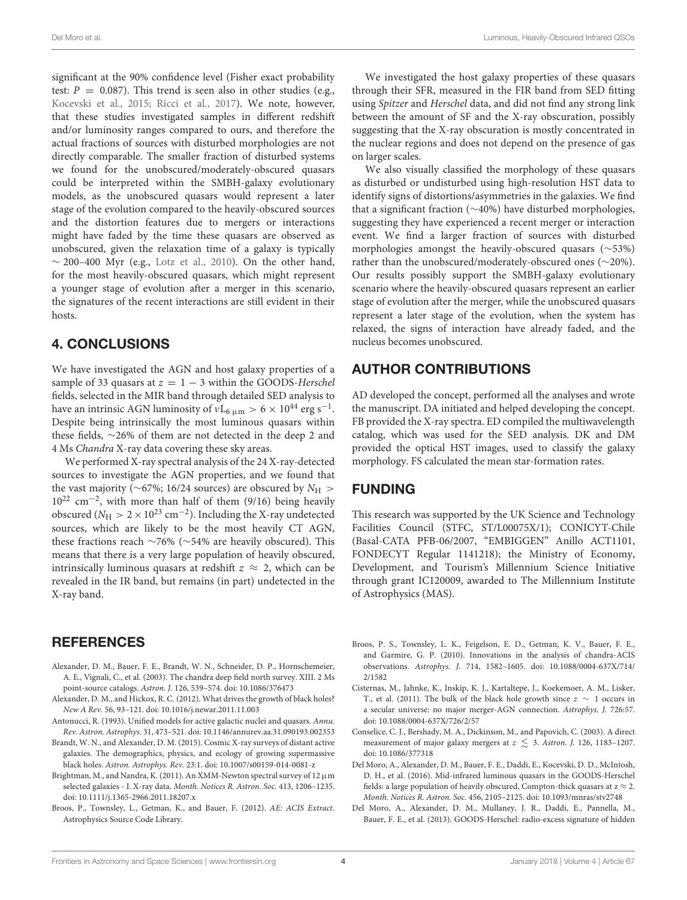significant at the 90% confidence level (Fisher exact probability test:  $P = 0.087$ ). This trend is seen also in other studies (e.g., [Kocevski et al., 2015;](#page-5-28) [Ricci et al., 2017\)](#page-5-29). We note, however, that these studies investigated samples in different redshift and/or luminosity ranges compared to ours, and therefore the actual fractions of sources with disturbed morphologies are not directly comparable. The smaller fraction of disturbed systems we found for the unobscured/moderately-obscured quasars could be interpreted within the SMBH-galaxy evolutionary models, as the unobscured quasars would represent a later stage of the evolution compared to the heavily-obscured sources and the distortion features due to mergers or interactions might have faded by the time these quasars are observed as unobscured, given the relaxation time of a galaxy is typically  $\sim$  200–400 Myr (e.g., [Lotz et al., 2010\)](#page-5-30). On the other hand, for the most heavily-obscured quasars, which might represent a younger stage of evolution after a merger in this scenario, the signatures of the recent interactions are still evident in their hosts.

# 4. CONCLUSIONS

We have investigated the AGN and host galaxy properties of a sample of 33 quasars at  $z = 1 - 3$  within the GOODS-Herschel fields, selected in the MIR band through detailed SED analysis to have an intrinsic AGN luminosity of  $vL_{6 \mu m} > 6 \times 10^{44} \text{ erg s}^{-1}$ . Despite being intrinsically the most luminous quasars within these fields, ∼26% of them are not detected in the deep 2 and 4 Ms Chandra X-ray data covering these sky areas.

We performed X-ray spectral analysis of the 24 X-ray-detected sources to investigate the AGN properties, and we found that the vast majority ( $\sim$ 67%; 16/24 sources) are obscured by  $N_{\rm H} >$ 10<sup>22</sup> cm−<sup>2</sup> , with more than half of them (9/16) being heavily obscured ( $N_{\rm H}>2\times10^{23}$  cm $^{-2}$ ). Including the X-ray undetected sources, which are likely to be the most heavily CT AGN, these fractions reach ∼76% (∼54% are heavily obscured). This means that there is a very large population of heavily obscured, intrinsically luminous quasars at redshift  $z \approx 2$ , which can be revealed in the IR band, but remains (in part) undetected in the X-ray band.

### **REFERENCES**

- <span id="page-4-5"></span>Alexander, D. M., Bauer, F. E., Brandt, W. N., Schneider, D. P., Hornschemeier, A. E., Vignali, C., et al. (2003). The chandra deep field north survey. XIII. 2 Ms point-source catalogs. Astron. J. 126, 539–574. doi: [10.1086/376473](https://doi.org/10.1086/376473)
- <span id="page-4-1"></span>Alexander, D. M., and Hickox, R. C. (2012). What drives the growth of black holes? New A Rev. 56, 93–121. doi: [10.1016/j.newar.2011.11.003](https://doi.org/10.1016/j.newar.2011.11.003)
- <span id="page-4-2"></span>Antonucci, R. (1993). Unified models for active galactic nuclei and quasars. Annu. Rev. Astron. Astrophys. 31, 473–521. doi: [10.1146/annurev.aa.31.090193.002353](https://doi.org/10.1146/annurev.aa.31.090193.002353)
- <span id="page-4-0"></span>Brandt, W. N., and Alexander, D. M. (2015). Cosmic X-ray surveys of distant active galaxies. The demographics, physics, and ecology of growing supermassive black holes. Astron. Astrophys. Rev. 23:1. doi: [10.1007/s00159-014-0081-z](https://doi.org/10.1007/s00159-014-0081-z)
- <span id="page-4-8"></span>Brightman, M., and Nandra, K. (2011). An XMM-Newton spectral survey of 12  $\mu$ m selected galaxies - I. X-ray data. Month. Notices R. Astron. Soc. 413, 1206–1235. doi: [10.1111/j.1365-2966.2011.18207.x](https://doi.org/10.1111/j.1365-2966.2011.18207.x)
- <span id="page-4-7"></span>Broos, P., Townsley, L., Getman, K., and Bauer, F. (2012). AE: ACIS Extract. Astrophysics Source Code Library.

We investigated the host galaxy properties of these quasars through their SFR, measured in the FIR band from SED fitting using Spitzer and Herschel data, and did not find any strong link between the amount of SF and the X-ray obscuration, possibly suggesting that the X-ray obscuration is mostly concentrated in the nuclear regions and does not depend on the presence of gas on larger scales.

We also visually classified the morphology of these quasars as disturbed or undisturbed using high-resolution HST data to identify signs of distortions/asymmetries in the galaxies. We find that a significant fraction (∼40%) have disturbed morphologies, suggesting they have experienced a recent merger or interaction event. We find a larger fraction of sources with disturbed morphologies amongst the heavily-obscured quasars (∼53%) rather than the unobscured/moderately-obscured ones (∼20%). Our results possibly support the SMBH-galaxy evolutionary scenario where the heavily-obscured quasars represent an earlier stage of evolution after the merger, while the unobscured quasars represent a later stage of the evolution, when the system has relaxed, the signs of interaction have already faded, and the nucleus becomes unobscured.

# AUTHOR CONTRIBUTIONS

AD developed the concept, performed all the analyses and wrote the manuscript. DA initiated and helped developing the concept. FB provided the X-ray spectra. ED compiled the multiwavelength catalog, which was used for the SED analysis. DK and DM provided the optical HST images, used to classify the galaxy morphology. FS calculated the mean star-formation rates.

### FUNDING

This research was supported by the UK Science and Technology Facilities Council (STFC, ST/L00075X/1); CONICYT-Chile (Basal-CATA PFB-06/2007, "EMBIGGEN" Anillo ACT1101, FONDECYT Regular 1141218); the Ministry of Economy, Development, and Tourism's Millennium Science Initiative through grant IC120009, awarded to The Millennium Institute of Astrophysics (MAS).

- <span id="page-4-6"></span>Broos, P. S., Townsley, L. K., Feigelson, E. D., Getman, K. V., Bauer, F. E., and Garmire, G. P. (2010). Innovations in the analysis of chandra-ACIS observations. Astrophys. J. [714, 1582–1605. doi: 10.1088/0004-637X/714/](https://doi.org/10.1088/0004-637X/714/2/1582) 2/1582
- <span id="page-4-9"></span>Cisternas, M., Jahnke, K., Inskip, K. J., Kartaltepe, J., Koekemoer, A. M., Lisker, T., et al. (2011). The bulk of the black hole growth since  $z \sim 1$  occurs in a secular universe: no major merger-AGN connection. Astrophys. J. 726:57. doi: [10.1088/0004-637X/726/2/57](https://doi.org/10.1088/0004-637X/726/2/57)
- <span id="page-4-10"></span>Conselice, C. J., Bershady, M. A., Dickinson, M., and Papovich, C. (2003). A direct measurement of major galaxy mergers at  $z \lesssim 3$ . Astron. J. 126, 1183–1207. doi: [10.1086/377318](https://doi.org/10.1086/377318)
- <span id="page-4-4"></span>Del Moro, A., Alexander, D. M., Bauer, F. E., Daddi, E., Kocevski, D. D., McIntosh, D. H., et al. (2016). Mid-infrared luminous quasars in the GOODS-Herschel fields: a large population of heavily obscured, Compton-thick quasars at  $z \approx 2$ . Month. Notices R. Astron. Soc. 456, 2105–2125. doi: [10.1093/mnras/stv2748](https://doi.org/10.1093/mnras/stv2748)
- <span id="page-4-3"></span>Del Moro, A., Alexander, D. M., Mullaney, J. R., Daddi, E., Pannella, M., Bauer, F. E., et al. (2013). GOODS-Herschel: radio-excess signature of hidden